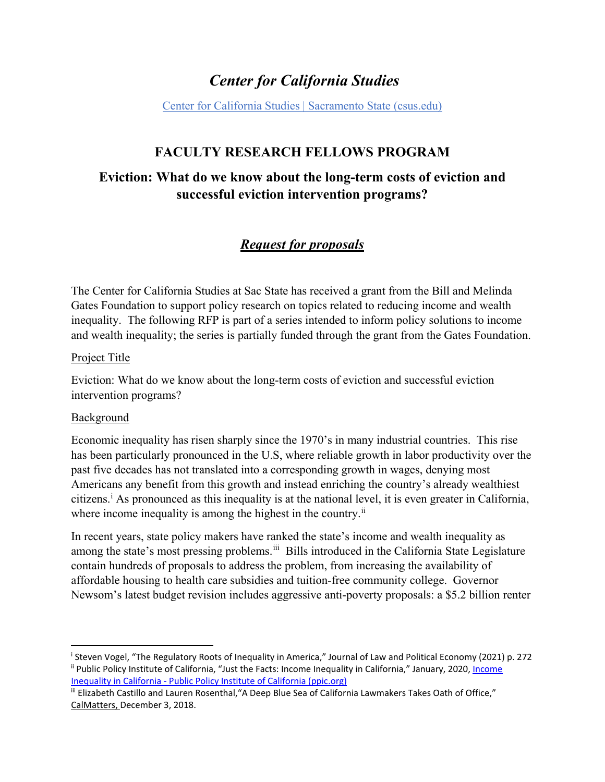# *Center for California Studies*

[Center for California Studies | Sacramento State \(csus.edu\)](https://www.csus.edu/center/center-california-studies/)

# **FACULTY RESEARCH FELLOWS PROGRAM**

# **Eviction: What do we know about the long-term costs of eviction and successful eviction intervention programs?**

# *Request for proposals*

The Center for California Studies at Sac State has received a grant from the Bill and Melinda Gates Foundation to support policy research on topics related to reducing income and wealth inequality. The following RFP is part of a series intended to inform policy solutions to income and wealth inequality; the series is partially funded through the grant from the Gates Foundation.

### Project Title

Eviction: What do we know about the long-term costs of eviction and successful eviction intervention programs?

#### Background

l

Economic inequality has risen sharply since the 1970's in many industrial countries. This rise has been particularly pronounced in the U.S, where reliable growth in labor productivity over the past five decades has not translated into a corresponding growth in wages, denying most Americans any benefit from this growth and instead enriching the country's already wealthiest c[i](#page-0-0)tizens.<sup> $\mathbf{i}$ </sup> As pronounced as this inequality is at the national level, it is even greater in California, where income inequality is among the highest in the country.<sup>[ii](#page-0-1)</sup>

In recent years, state policy makers have ranked the state's income and wealth inequality as among the state's most pressing problems.<sup>[iii](#page-0-2)</sup> Bills introduced in the California State Legislature contain hundreds of proposals to address the problem, from increasing the availability of affordable housing to health care subsidies and tuition-free community college. Governor Newsom's latest budget revision includes aggressive anti-poverty proposals: a \$5.2 billion renter

<span id="page-0-1"></span><span id="page-0-0"></span><sup>&</sup>lt;sup>i</sup> Steven Vogel, "The Regulatory Roots of Inequality in America," Journal of Law and Political Economy (2021) p. 272 ii Public Policy Institute of California, "Just the Facts: Income Inequality in California," January, 2020[, Income](https://www.ppic.org/publication/income-inequality-in-california/)  [Inequality in California - Public Policy Institute of California \(ppic.org\)](https://www.ppic.org/publication/income-inequality-in-california/)

<span id="page-0-2"></span>iii Elizabeth Castillo and Lauren Rosenthal,"A Deep Blue Sea of California Lawmakers Takes Oath of Office," CalMatters, December 3, 2018.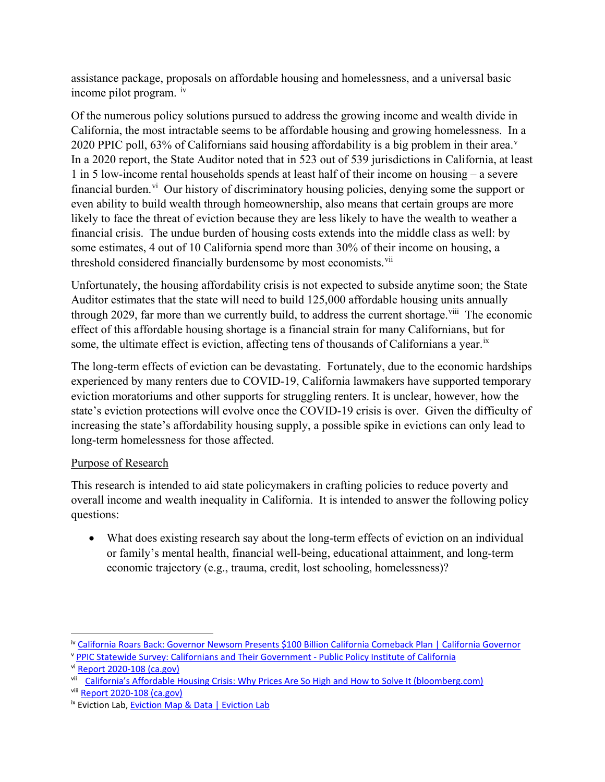assistance package, proposals on affordable housing and homelessness, and a universal basic income pilot program. [iv](#page-1-0)

Of the numerous policy solutions pursued to address the growing income and wealth divide in California, the most intractable seems to be affordable housing and growing homelessness. In a 2020 PPIC poll, 63% of Californians said housing affordability is a big problem in their area.<sup>[v](#page-1-1)</sup> In a 2020 report, the State Auditor noted that in 523 out of 539 jurisdictions in California, at least 1 in 5 low-income rental households spends at least half of their income on housing – a severe financial burden.<sup>[vi](#page-1-2)</sup> Our history of discriminatory housing policies, denying some the support or even ability to build wealth through homeownership, also means that certain groups are more likely to face the threat of eviction because they are less likely to have the wealth to weather a financial crisis. The undue burden of housing costs extends into the middle class as well: by some estimates, 4 out of 10 California spend more than 30% of their income on housing, a threshold considered financially burdensome by most economists.<sup>vii</sup>

Unfortunately, the housing affordability crisis is not expected to subside anytime soon; the State Auditor estimates that the state will need to build 125,000 affordable housing units annually through 2029, far more than we currently build, to address the current shortage.<sup>viii</sup> The economic effect of this affordable housing shortage is a financial strain for many Californians, but for some, the ultimate effect is eviction, affecting tens of thousands of Californians a year.<sup>[ix](#page-1-5)</sup>

The long-term effects of eviction can be devastating. Fortunately, due to the economic hardships experienced by many renters due to COVID-19, California lawmakers have supported temporary eviction moratoriums and other supports for struggling renters. It is unclear, however, how the state's eviction protections will evolve once the COVID-19 crisis is over. Given the difficulty of increasing the state's affordability housing supply, a possible spike in evictions can only lead to long-term homelessness for those affected.

# Purpose of Research

This research is intended to aid state policymakers in crafting policies to reduce poverty and overall income and wealth inequality in California. It is intended to answer the following policy questions:

• What does existing research say about the long-term effects of eviction on an individual or family's mental health, financial well-being, educational attainment, and long-term economic trajectory (e.g., trauma, credit, lost schooling, homelessness)?

 $\overline{\phantom{a}}$ 

<span id="page-1-0"></span>iv [California Roars Back: Governor Newsom Presents \\$100 Billion California Comeback Plan | California Governor](https://www.gov.ca.gov/2021/05/14/california-roars-back-governor-newsom-presents-100-billion-california-comeback-plan/)

<span id="page-1-1"></span><sup>v</sup> [PPIC Statewide Survey: Californians and Their Government - Public Policy Institute of California](https://www.ppic.org/publication/ppic-statewide-survey-californians-and-their-government-february-2020/)

<span id="page-1-2"></span>vi [Report 2020-108 \(ca.gov\)](http://auditor.ca.gov/reports/2020-108/summary.html#:%7E:text=California%27s%20ongoing%20affordable%20housing%20shortage%20has%20contributed%20to,housing%20at%20both%20the%20state%20and%20local%20levels.)

<span id="page-1-3"></span>vii [California's Affordable Housing Crisis: Why Prices Are So High and How to Solve It \(bloomberg.com\)](https://www.bloomberg.com/graphics/2019-california-housing-crisis/) viii [Report 2020-108 \(ca.gov\)](http://auditor.ca.gov/reports/2020-108/summary.html#:%7E:text=California%27s%20ongoing%20affordable%20housing%20shortage%20has%20contributed%20to,housing%20at%20both%20the%20state%20and%20local%20levels.)

<span id="page-1-4"></span>

<span id="page-1-5"></span><sup>&</sup>lt;sup>ix</sup> Eviction Lab, [Eviction Map & Data | Eviction Lab](https://evictionlab.org/map/#/2000?geography=states&type=er&locations=06,-117.903,35.5)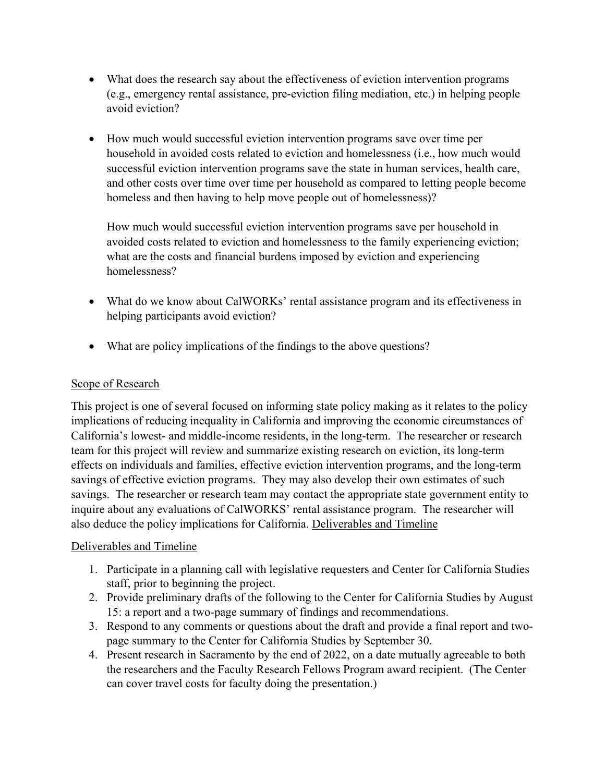- What does the research say about the effectiveness of eviction intervention programs (e.g., emergency rental assistance, pre-eviction filing mediation, etc.) in helping people avoid eviction?
- How much would successful eviction intervention programs save over time per household in avoided costs related to eviction and homelessness (i.e., how much would successful eviction intervention programs save the state in human services, health care, and other costs over time over time per household as compared to letting people become homeless and then having to help move people out of homelessness)?

How much would successful eviction intervention programs save per household in avoided costs related to eviction and homelessness to the family experiencing eviction; what are the costs and financial burdens imposed by eviction and experiencing homelessness?

- What do we know about CalWORKs' rental assistance program and its effectiveness in helping participants avoid eviction?
- What are policy implications of the findings to the above questions?

# Scope of Research

This project is one of several focused on informing state policy making as it relates to the policy implications of reducing inequality in California and improving the economic circumstances of California's lowest- and middle-income residents, in the long-term. The researcher or research team for this project will review and summarize existing research on eviction, its long-term effects on individuals and families, effective eviction intervention programs, and the long-term savings of effective eviction programs. They may also develop their own estimates of such savings. The researcher or research team may contact the appropriate state government entity to inquire about any evaluations of CalWORKS' rental assistance program. The researcher will also deduce the policy implications for California. Deliverables and Timeline

## Deliverables and Timeline

- 1. Participate in a planning call with legislative requesters and Center for California Studies staff, prior to beginning the project.
- 2. Provide preliminary drafts of the following to the Center for California Studies by August 15: a report and a two-page summary of findings and recommendations.
- 3. Respond to any comments or questions about the draft and provide a final report and twopage summary to the Center for California Studies by September 30.
- 4. Present research in Sacramento by the end of 2022, on a date mutually agreeable to both the researchers and the Faculty Research Fellows Program award recipient. (The Center can cover travel costs for faculty doing the presentation.)